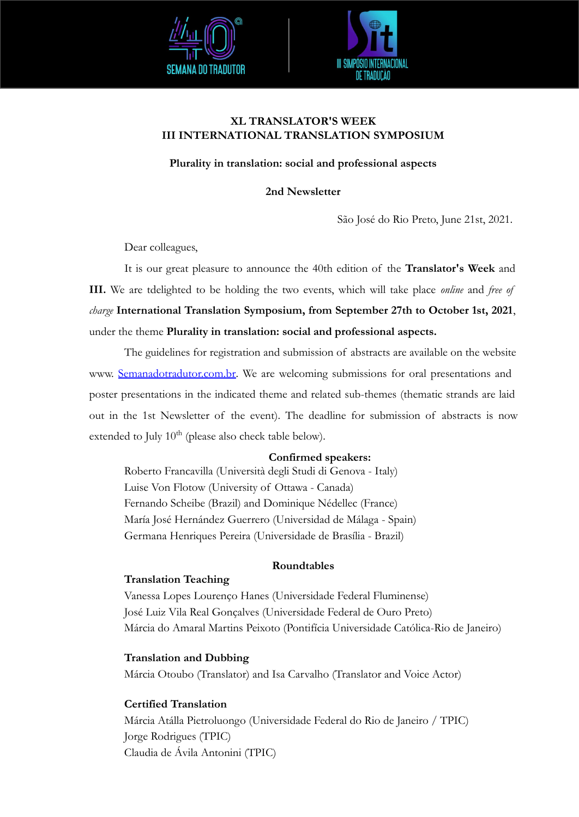



# **XL TRANSLATOR'S WEEK III INTERNATIONAL TRANSLATION SYMPOSIUM**

# **Plurality in translation: social and professional aspects**

### **2nd Newsletter**

São José do Rio Preto, June 21st, 2021.

Dear colleagues,

It is our great pleasure to announce the 40th edition of the **Translator's Week** and **III.** We are tdelighted to be holding the two events, which will take place *online* and *free of charge* **International Translation Symposium, from September 27th to October 1st, 2021**, under the theme **Plurality in translation: social and professional aspects.** 

The guidelines for registration and submission of abstracts are available on the website www. [Semanadotradutor.com.br.](http://www.semanadotradutor.com.br) We are welcoming submissions for oral presentations and poster presentations in the indicated theme and related sub-themes (thematic strands are laid out in the 1st Newsletter of the event). The deadline for submission of abstracts is now extended to July  $10^{th}$  (please also check table below).

### **Confirmed speakers:**

Roberto Francavilla (Università degli Studi di Genova - Italy) Luise Von Flotow (University of Ottawa - Canada) Fernando Scheibe (Brazil) and Dominique Nédellec (France) María José Hernández Guerrero (Universidad de Málaga - Spain) Germana Henriques Pereira (Universidade de Brasília - Brazil)

#### **Roundtables**

#### **Translation Teaching**

Vanessa Lopes Lourenço Hanes (Universidade Federal Fluminense) José Luiz Vila Real Gonçalves (Universidade Federal de Ouro Preto) Márcia do Amaral Martins Peixoto (Pontifícia Universidade Católica-Rio de Janeiro)

#### **Translation and Dubbing**

Márcia Otoubo (Translator) and Isa Carvalho (Translator and Voice Actor)

# **Certified Translation**

Márcia Atálla Pietroluongo (Universidade Federal do Rio de Janeiro / TPIC) Jorge Rodrigues (TPIC) Claudia de Ávila Antonini (TPIC)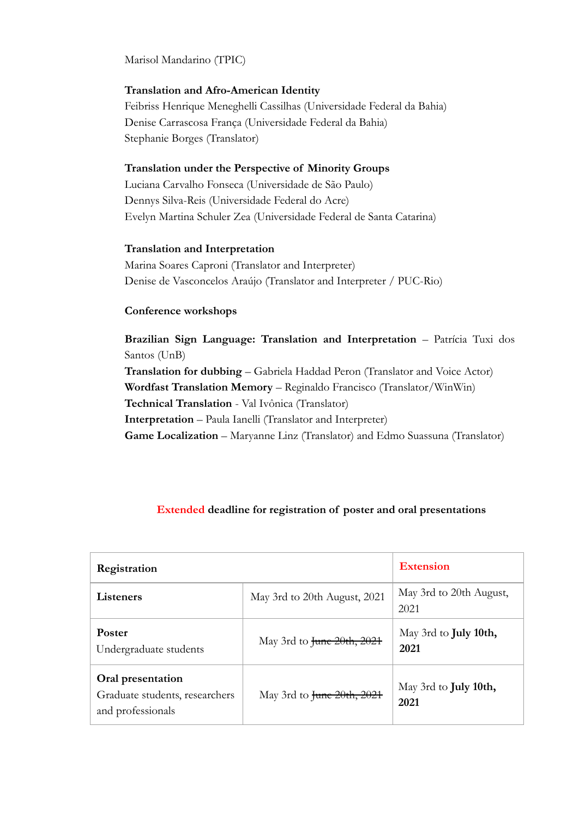Marisol Mandarino (TPIC)

### **Translation and Afro-American Identity**

Feibriss Henrique Meneghelli Cassilhas (Universidade Federal da Bahia) Denise Carrascosa França (Universidade Federal da Bahia) Stephanie Borges (Translator)

#### **Translation under the Perspective of Minority Groups**

Luciana Carvalho Fonseca (Universidade de São Paulo) Dennys Silva-Reis (Universidade Federal do Acre) Evelyn Martina Schuler Zea (Universidade Federal de Santa Catarina)

### **Translation and Interpretation**

Marina Soares Caproni (Translator and Interpreter) Denise de Vasconcelos Araújo (Translator and Interpreter / PUC-Rio)

### **Conference workshops**

**Brazilian Sign Language: Translation and Interpretation** – Patrícia Tuxi dos Santos (UnB) **Translation for dubbing** – Gabriela Haddad Peron (Translator and Voice Actor) **Wordfast Translation Memory** – Reginaldo Francisco (Translator/WinWin) **Technical Translation** - Val Ivônica (Translator) **Interpretation** – Paula Ianelli (Translator and Interpreter) **Game Localization** – Maryanne Linz (Translator) and Edmo Suassuna (Translator)

| Registration                                                             |                              | <b>Extension</b>                      |
|--------------------------------------------------------------------------|------------------------------|---------------------------------------|
| Listeners                                                                | May 3rd to 20th August, 2021 | May 3rd to 20th August,<br>2021       |
| Poster<br>Undergraduate students                                         | May 3rd to June 20th, 2021   | May 3rd to <b>July 10th</b> ,<br>2021 |
| Oral presentation<br>Graduate students, researchers<br>and professionals | May 3rd to June 20th, 2021   | May 3rd to <b>July 10th,</b><br>2021  |

# **Extended deadline for registration of poster and oral presentations**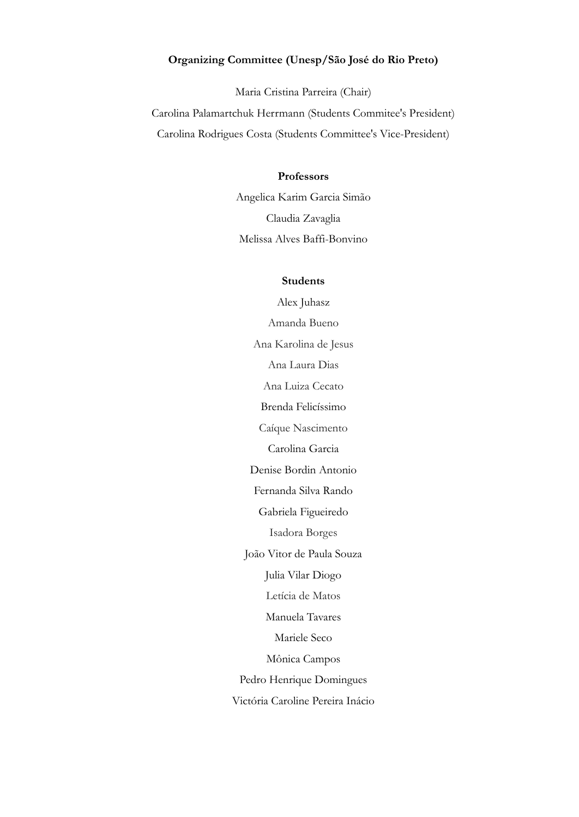### **Organizing Committee (Unesp/São José do Rio Preto)**

Maria Cristina Parreira (Chair) Carolina Palamartchuk Herrmann (Students Commitee's President) Carolina Rodrigues Costa (Students Committee's Vice-President)

# **Professors**

Angelica Karim Garcia Simão Claudia Zavaglia Melissa Alves Baffi-Bonvino

#### **Students**

Alex Juhasz Amanda Bueno Ana Karolina de Jesus Ana Laura Dias Ana Luiza Cecato Brenda Felicíssimo Caíque Nascimento Carolina Garcia Denise Bordin Antonio Fernanda Silva Rando Gabriela Figueiredo Isadora Borges João Vitor de Paula Souza Julia Vilar Diogo Letícia de Matos Manuela Tavares Mariele Seco Mônica Campos Pedro Henrique Domingues Victória Caroline Pereira Inácio